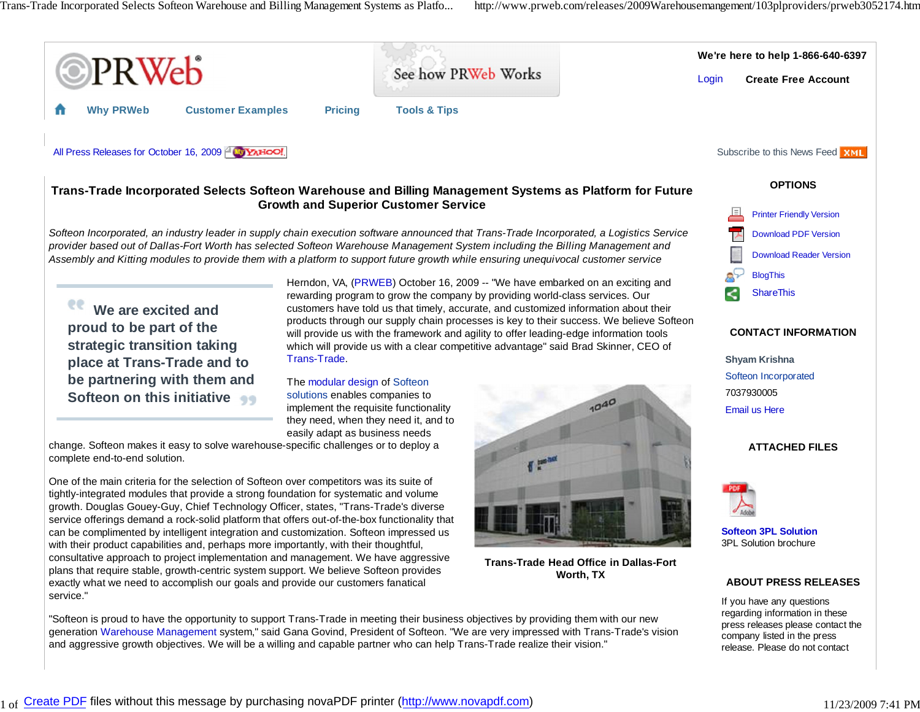

and aggressive growth objectives. We will be a willing and capable partner who can help Trans-Trade realize their vision."

release. Please do not contact